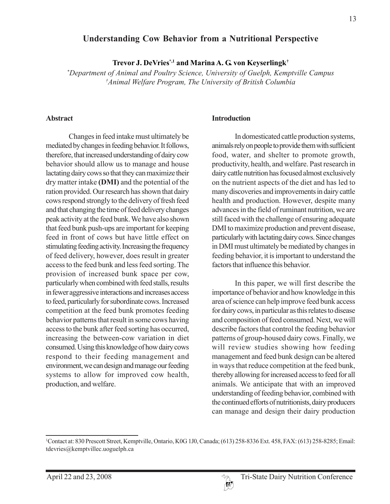# **Understanding Cow Behavior from a Nutritional Perspective**

**Trevor J. DeVries\*,1 and Marina A. G. von Keyserlingk†**

*\* Department of Animal and Poultry Science, University of Guelph, Kemptville Campus † Animal Welfare Program, The University of British Columbia*

### **Abstract**

Changes in feed intake must ultimately be mediated by changes in feeding behavior. It follows, therefore, that increased understanding of dairy cow behavior should allow us to manage and house lactating dairy cows so that they can maximize their dry matter intake **(DMI)** and the potential of the ration provided. Our research has shown that dairy cows respond strongly to the delivery of fresh feed and that changing the time of feed delivery changes peak activity at the feed bunk. We have also shown that feed bunk push-ups are important for keeping feed in front of cows but have little effect on stimulating feeding activity. Increasing the frequency of feed delivery, however, does result in greater access to the feed bunk and less feed sorting. The provision of increased bunk space per cow, particularly when combined with feed stalls, results in fewer aggressive interactions and increases access to feed, particularly for subordinate cows. Increased competition at the feed bunk promotes feeding behavior patterns that result in some cows having access to the bunk after feed sorting has occurred, increasing the between-cow variation in diet consumed. Using this knowledge of how dairy cows respond to their feeding management and environment, we can design and manage our feeding systems to allow for improved cow health, production, and welfare.

#### **Introduction**

In domesticated cattle production systems, animals rely on people to provide them with sufficient food, water, and shelter to promote growth, productivity, health, and welfare. Past research in dairy cattle nutrition has focused almost exclusively on the nutrient aspects of the diet and has led to many discoveries and improvements in dairy cattle health and production. However, despite many advances in the field of ruminant nutrition, we are still faced with the challenge of ensuring adequate DMI to maximize production and prevent disease, particularly with lactating dairy cows. Since changes in DMI must ultimately be mediated by changes in feeding behavior, it is important to understand the factors that influence this behavior.

In this paper, we will first describe the importance of behavior and how knowledge in this area of science can help improve feed bunk access for dairy cows, in particular as this relates to disease and composition of feed consumed. Next, we will describe factors that control the feeding behavior patterns of group-housed dairy cows. Finally, we will review studies showing how feeding management and feed bunk design can be altered in ways that reduce competition at the feed bunk, thereby allowing for increased access to feed for all animals. We anticipate that with an improved understanding of feeding behavior, combined with the continued efforts of nutritionists, dairy producers can manage and design their dairy production

<sup>1</sup> Contact at: 830 Prescott Street, Kemptville, Ontario, K0G 1J0, Canada; (613) 258-8336 Ext. 458, FAX: (613) 258-8285; Email: tdevries@kemptvillec.uoguelph.ca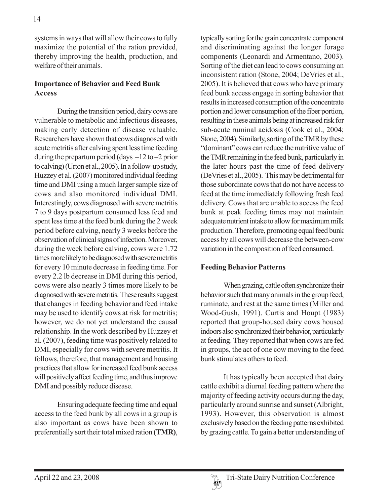systems in ways that will allow their cows to fully maximize the potential of the ration provided, thereby improving the health, production, and welfare of their animals.

### **Importance of Behavior and Feed Bunk Access**

During the transition period, dairy cows are vulnerable to metabolic and infectious diseases, making early detection of disease valuable. Researchers have shown that cows diagnosed with acute metritis after calving spent less time feeding during the prepartum period (days –12 to –2 prior to calving) (Urton et al., 2005). In a follow-up study, Huzzey et al. (2007) monitored individual feeding time and DMI using a much larger sample size of cows and also monitored individual DMI. Interestingly, cows diagnosed with severe metritis 7 to 9 days postpartum consumed less feed and spent less time at the feed bunk during the 2 week period before calving, nearly 3 weeks before the observation of clinical signs of infection. Moreover, during the week before calving, cows were 1.72 times more likely to be diagnosed with severe metritis for every 10 minute decrease in feeding time. For every 2.2 lb decrease in DMI during this period, cows were also nearly 3 times more likely to be diagnosed with severe metritis.These results suggest that changes in feeding behavior and feed intake may be used to identify cows at risk for metritis; however, we do not yet understand the causal relationship. In the work described by Huzzey et al. (2007), feeding time was positively related to DMI, especially for cows with severe metritis. It follows, therefore, that management and housing practices that allow for increased feed bunk access will positively affect feeding time, and thus improve DMI and possibly reduce disease.

Ensuring adequate feeding time and equal access to the feed bunk by all cows in a group is also important as cows have been shown to preferentially sort their total mixed ration **(TMR)**, typically sorting for the grain concentrate component and discriminating against the longer forage components (Leonardi and Armentano, 2003). Sorting of the diet can lead to cows consuming an inconsistent ration (Stone, 2004; DeVries et al., 2005). It is believed that cows who have primary feed bunk access engage in sorting behavior that results in increased consumption of the concentrate portion and lower consumption of the fiber portion, resulting in these animals being at increased risk for sub-acute ruminal acidosis (Cook et al., 2004; Stone, 2004). Similarly, sorting of the TMR by these "dominant" cows can reduce the nutritive value of the TMR remaining in the feed bunk, particularly in the later hours past the time of feed delivery (DeVries et al., 2005). This may be detrimental for those subordinate cows that do not have access to feed at the time immediately following fresh feed delivery. Cows that are unable to access the feed bunk at peak feeding times may not maintain adequate nutrient intake to allow for maximum milk production. Therefore, promoting equal feed bunk access by all cows will decrease the between-cow variation in the composition of feed consumed.

## **Feeding Behavior Patterns**

When grazing, cattle often synchronize their behavior such that many animals in the group feed, ruminate, and rest at the same times (Miller and Wood-Gush, 1991). Curtis and Houpt (1983) reported that group-housed dairy cows housed indoors also synchronized their behavior, particularly at feeding. They reported that when cows are fed in groups, the act of one cow moving to the feed bunk stimulates others to feed.

It has typically been accepted that dairy cattle exhibit a diurnal feeding pattern where the majority of feeding activity occurs during the day, particularly around sunrise and sunset (Albright, 1993). However, this observation is almost exclusively based on the feeding patterns exhibited by grazing cattle. To gain a better understanding of

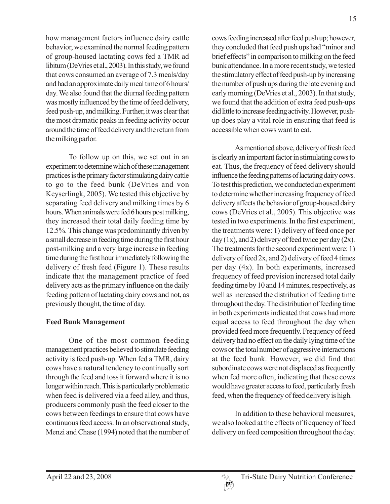how management factors influence dairy cattle behavior, we examined the normal feeding pattern of group-housed lactating cows fed a TMR ad libitum (DeVries et al., 2003). In this study, we found that cows consumed an average of 7.3 meals/day and had an approximate daily meal time of 6 hours/ day. We also found that the diurnal feeding pattern was mostly influenced by the time of feed delivery, feed push-up, and milking. Further, it was clear that the most dramatic peaks in feeding activity occur around the time of feed delivery and the return from the milking parlor.

To follow up on this, we set out in an experiment to determine which of these management practices is the primary factor stimulating dairy cattle to go to the feed bunk (DeVries and von Keyserlingk, 2005). We tested this objective by separating feed delivery and milking times by 6 hours. When animals were fed 6 hours post milking, they increased their total daily feeding time by 12.5%. This change was predominantly driven by a small decrease in feeding time during the first hour post-milking and a very large increase in feeding time during the first hour immediately following the delivery of fresh feed (Figure 1). These results indicate that the management practice of feed delivery acts as the primary influence on the daily feeding pattern of lactating dairy cows and not, as previously thought, the time of day.

# **Feed Bunk Management**

One of the most common feeding management practices believed to stimulate feeding activity is feed push-up. When fed a TMR, dairy cows have a natural tendency to continually sort through the feed and toss it forward where it is no longer within reach. This is particularly problematic when feed is delivered via a feed alley, and thus, producers commonly push the feed closer to the cows between feedings to ensure that cows have continuous feed access. In an observational study, Menzi and Chase (1994) noted that the number of cows feeding increased after feed push up; however, they concluded that feed push ups had "minor and brief effects" in comparison to milking on the feed bunk attendance. In a more recent study, we tested the stimulatory effect of feed push-up by increasing the number of push ups during the late evening and early morning (DeVries et al., 2003). In that study, we found that the addition of extra feed push-ups did little to increase feeding activity. However, pushup does play a vital role in ensuring that feed is accessible when cows want to eat.

As mentioned above, delivery of fresh feed is clearly an important factor in stimulating cows to eat. Thus, the frequency of feed delivery should influence the feeding patterns of lactating dairy cows. To test this prediction, we conducted an experiment to determine whether increasing frequency of feed delivery affects the behavior of group-housed dairy cows (DeVries et al., 2005). This objective was tested in two experiments. In the first experiment, the treatments were: 1) delivery of feed once per day (1x), and 2) delivery of feed twice per day (2x). The treatments for the second experiment were: 1) delivery of feed 2x, and 2) delivery of feed 4 times per day (4x). In both experiments, increased frequency of feed provision increased total daily feeding time by 10 and 14 minutes, respectively, as well as increased the distribution of feeding time throughout the day. The distribution of feeding time in both experiments indicated that cows had more equal access to feed throughout the day when provided feed more frequently. Frequency of feed delivery had no effect on the daily lying time of the cows or the total number of aggressive interactions at the feed bunk. However, we did find that subordinate cows were not displaced as frequently when fed more often, indicating that these cows would have greater access to feed, particularly fresh feed, when the frequency of feed delivery is high.

In addition to these behavioral measures, we also looked at the effects of frequency of feed delivery on feed composition throughout the day.

 $\{h^{\beta}\}$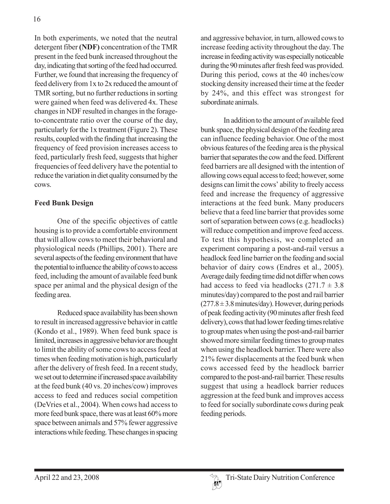In both experiments, we noted that the neutral detergent fiber **(NDF)** concentration of the TMR present in the feed bunk increased throughout the day, indicating that sorting of the feed had occurred. Further, we found that increasing the frequency of feed delivery from 1x to 2x reduced the amount of TMR sorting, but no further reductions in sorting were gained when feed was delivered 4x. These changes in NDF resulted in changes in the forageto-concentrate ratio over the course of the day, particularly for the 1x treatment (Figure 2). These results, coupled with the finding that increasing the frequency of feed provision increases access to feed, particularly fresh feed, suggests that higher frequencies of feed delivery have the potential to reduce the variation in diet quality consumed by the cows.

# **Feed Bunk Design**

One of the specific objectives of cattle housing is to provide a comfortable environment that will allow cows to meet their behavioral and physiological needs (Phillips, 2001). There are several aspects of the feeding environment that have the potential to influence the ability of cows to access feed, including the amount of available feed bunk space per animal and the physical design of the feeding area.

Reduced space availability has been shown to result in increased aggressive behavior in cattle (Kondo et al., 1989). When feed bunk space is limited, increases in aggressive behavior are thought to limit the ability of some cows to access feed at times when feeding motivation is high, particularly after the delivery of fresh feed. In a recent study, we set out to determine if increased space availability at the feed bunk (40 vs. 20 inches/cow) improves access to feed and reduces social competition (DeVries et al., 2004). When cows had access to more feed bunk space, there was at least 60% more space between animals and 57% fewer aggressive interactions while feeding. These changes in spacing

and aggressive behavior, in turn, allowed cows to increase feeding activity throughout the day. The increase in feeding activity was especially noticeable during the 90 minutes after fresh feed was provided. During this period, cows at the 40 inches/cow stocking density increased their time at the feeder by 24%, and this effect was strongest for subordinate animals.

In addition to the amount of available feed bunk space, the physical design of the feeding area can influence feeding behavior. One of the most obvious features of the feeding area is the physical barrier that separates the cow and the feed. Different feed barriers are all designed with the intention of allowing cows equal access to feed; however, some designs can limit the cows' ability to freely access feed and increase the frequency of aggressive interactions at the feed bunk. Many producers believe that a feed line barrier that provides some sort of separation between cows (e.g. headlocks) will reduce competition and improve feed access. To test this hypothesis, we completed an experiment comparing a post-and-rail versus a headlock feed line barrier on the feeding and social behavior of dairy cows (Endres et al., 2005). Average daily feeding time did not differ when cows had access to feed via headlocks  $(271.7 \pm 3.8)$ minutes/day) compared to the post and rail barrier  $(277.8 \pm 3.8 \text{ minutes/day})$ . However, during periods of peak feeding activity (90 minutes after fresh feed delivery), cows that had lower feeding times relative to group mates when using the post-and-rail barrier showed more similar feeding times to group mates when using the headlock barrier. There were also 21% fewer displacements at the feed bunk when cows accessed feed by the headlock barrier compared to the post-and-rail barrier. These results suggest that using a headlock barrier reduces aggression at the feed bunk and improves access to feed for socially subordinate cows during peak feeding periods.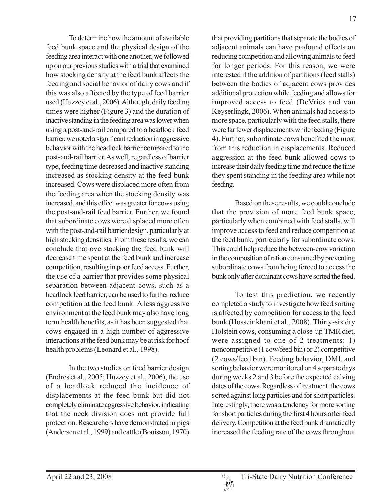To determine how the amount of available feed bunk space and the physical design of the feeding area interact with one another, we followed up on our previous studies with a trial that examined how stocking density at the feed bunk affects the feeding and social behavior of dairy cows and if this was also affected by the type of feed barrier used (Huzzey et al., 2006). Although, daily feeding times were higher (Figure 3) and the duration of inactive standing in the feeding area was lower when using a post-and-rail compared to a headlock feed barrier, we noted a significant reduction in aggressive behavior with the headlock barrier compared to the post-and-rail barrier. As well, regardless of barrier type, feeding time decreased and inactive standing increased as stocking density at the feed bunk increased. Cows were displaced more often from the feeding area when the stocking density was increased, and this effect was greater for cows using the post-and-rail feed barrier. Further, we found that subordinate cows were displaced more often with the post-and-rail barrier design, particularly at high stocking densities. From these results, we can conclude that overstocking the feed bunk will decrease time spent at the feed bunk and increase competition, resulting in poor feed access. Further, the use of a barrier that provides some physical separation between adjacent cows, such as a headlock feed barrier, can be used to further reduce competition at the feed bunk. A less aggressive environment at the feed bunk may also have long term health benefits, as it has been suggested that cows engaged in a high number of aggressive interactions at the feed bunk may be at risk for hoof health problems (Leonard et al., 1998).

In the two studies on feed barrier design (Endres et al., 2005; Huzzey et al., 2006), the use of a headlock reduced the incidence of displacements at the feed bunk but did not completely eliminate aggressive behavior, indicating that the neck division does not provide full protection. Researchers have demonstrated in pigs (Andersen et al., 1999) and cattle (Bouissou, 1970)

that providing partitions that separate the bodies of adjacent animals can have profound effects on reducing competition and allowing animals to feed for longer periods. For this reason, we were interested if the addition of partitions (feed stalls) between the bodies of adjacent cows provides additional protection while feeding and allows for improved access to feed (DeVries and von Keyserlingk, 2006). When animals had access to more space, particularly with the feed stalls, there were far fewer displacements while feeding (Figure 4). Further, subordinate cows benefited the most from this reduction in displacements. Reduced aggression at the feed bunk allowed cows to increase their daily feeding time and reduce the time they spent standing in the feeding area while not feeding.

Based on these results, we could conclude that the provision of more feed bunk space, particularly when combined with feed stalls, will improve access to feed and reduce competition at the feed bunk, particularly for subordinate cows. This could help reduce the between-cow variation in the composition of ration consumed by preventing subordinate cows from being forced to access the bunk only after dominant cows have sorted the feed.

To test this prediction, we recently completed a study to investigate how feed sorting is affected by competition for access to the feed bunk (Hosseinkhani et al., 2008). Thirty-six dry Holstein cows, consuming a close-up TMR diet, were assigned to one of 2 treatments: 1) noncompetitive (1 cow/feed bin) or 2) competitive (2 cows/feed bin). Feeding behavior, DMI, and sorting behavior were monitored on 4 separate days during weeks 2 and 3 before the expected calving dates of the cows. Regardless of treatment, the cows sorted against long particles and for short particles. Interestingly, there was a tendency for more sorting for short particles during the first 4 hours after feed delivery. Competition at the feed bunk dramatically increased the feeding rate of the cows throughout

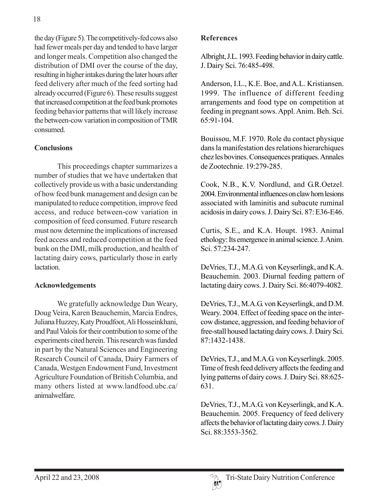the day (Figure 5). The competitively-fed cows also had fewer meals per day and tended to have larger and longer meals. Competition also changed the distribution of DMI over the course of the day, resulting in higher intakes during the later hours after feed delivery after much of the feed sorting had already occurred (Figure 6). These results suggest that increased competition at the feed bunk promotes feeding behavior patterns that will likely increase the between-cow variation in composition of TMR consumed.

# **Conclusions**

This proceedings chapter summarizes a number of studies that we have undertaken that collectively provide us with a basic understanding of how feed bunk management and design can be manipulated to reduce competition, improve feed access, and reduce between-cow variation in composition of feed consumed. Future research must now determine the implications of increased feed access and reduced competition at the feed bunk on the DMI, milk production, and health of lactating dairy cows, particularly those in early **lactation** 

## **Acknowledgements**

We gratefully acknowledge Dan Weary, Doug Veira, Karen Beauchemin, Marcia Endres, Juliana Huzzey, Katy Proudfoot, Ali Hosseinkhani, and Paul Valois for their contribution to some of the experiments cited herein. This research was funded in part by the Natural Sciences and Engineering Research Council of Canada, Dairy Farmers of Canada, Westgen Endowment Fund, Investment Agriculture Foundation of British Columbia, and many others listed at www.landfood.ubc.ca/ animalwelfare.

## **References**

Albright, J.L. 1993. Feeding behavior in dairy cattle. J. Dairy Sci. 76:485-498.

Anderson, I.L., K.E. Boe, and A.L. Kristiansen. 1999. The influence of different feeding arrangements and food type on competition at feeding in pregnant sows. Appl. Anim. Beh. Sci. 65:91-104.

Bouissou, M.F. 1970. Role du contact physique dans la manifestation des relations hierarchiques chez les bovines. Consequences pratiques. Annales de Zootechnie. 19:279-285.

Cook, N.B., K.V. Nordlund, and G.R.Oetzel. 2004. Environmental influences on claw horn lesions associated with laminitis and subacute ruminal acidosis in dairy cows. J. Dairy Sci. 87: E36-E46.

Curtis, S.E., and K.A. Houpt. 1983. Animal ethology: Its emergence in animal science. J. Anim. Sci. 57:234-247.

DeVries, T.J., M.A.G. von Keyserlingk, and K.A. Beauchemin. 2003. Diurnal feeding pattern of lactating dairy cows. J. Dairy Sci. 86:4079-4082.

DeVries, T.J., M.A.G. von Keyserlingk, and D.M. Weary. 2004. Effect of feeding space on the intercow distance, aggression, and feeding behavior of free-stall housed lactating dairy cows. J. Dairy Sci. 87:1432-1438.

DeVries, T.J., and M.A.G. von Keyserlingk. 2005. Time of fresh feed delivery affects the feeding and lying patterns of dairy cows. J. Dairy Sci. 88:625- 631.

DeVries, T.J., M.A.G. von Keyserlingk, and K.A. Beauchemin. 2005. Frequency of feed delivery affects the behavior of lactating dairy cows. J. Dairy Sci. 88:3553-3562.

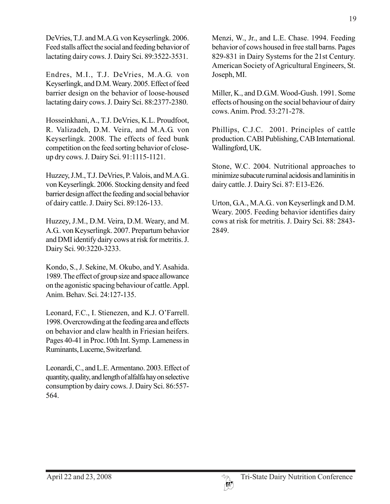DeVries, T.J. and M.A.G. von Keyserlingk. 2006. Feed stalls affect the social and feeding behavior of lactating dairy cows. J. Dairy Sci. 89:3522-3531.

Endres, M.I., T.J. DeVries, M.A.G. von Keyserlingk, and D.M. Weary. 2005. Effect of feed barrier design on the behavior of loose-housed lactating dairy cows. J. Dairy Sci. 88:2377-2380.

Hosseinkhani, A., T.J. DeVries, K.L. Proudfoot, R. Valizadeh, D.M. Veira, and M.A.G. von Keyserlingk. 2008. The effects of feed bunk competition on the feed sorting behavior of closeup dry cows. J. Dairy Sci. 91:1115-1121.

Huzzey, J.M., T.J. DeVries, P. Valois, and M.A.G.. von Keyserlingk. 2006. Stocking density and feed barrier design affect the feeding and social behavior of dairy cattle. J. Dairy Sci. 89:126-133.

Huzzey, J.M., D.M. Veira, D.M. Weary, and M. A.G.. von Keyserlingk. 2007. Prepartum behavior and DMI identify dairy cows at risk for metritis. J. Dairy Sci. 90:3220-3233.

Kondo, S., J. Sekine, M. Okubo, and Y. Asahida. 1989. The effect of group size and space allowance on the agonistic spacing behaviour of cattle. Appl. Anim. Behav. Sci. 24:127-135.

Leonard, F.C., I. Stienezen, and K.J. O'Farrell. 1998. Overcrowding at the feeding area and effects on behavior and claw health in Friesian heifers. Pages 40-41 in Proc.10th Int. Symp. Lameness in Ruminants, Lucerne, Switzerland.

Leonardi, C., and L.E. Armentano. 2003. Effect of quantity, quality, and length of alfalfa hay on selective consumption by dairy cows. J. Dairy Sci. 86:557- 564.

Menzi, W., Jr., and L.E. Chase. 1994. Feeding behavior of cows housed in free stall barns. Pages 829-831 in Dairy Systems for the 21st Century. American Society of Agricultural Engineers, St. Joseph, MI.

Miller, K., and D.G.M. Wood-Gush. 1991. Some effects of housing on the social behaviour of dairy cows. Anim. Prod. 53:271-278.

Phillips, C.J.C. 2001. Principles of cattle production. CABI Publishing, CAB International. Wallingford, UK.

Stone, W.C. 2004. Nutritional approaches to minimize subacute ruminal acidosis and laminitis in dairy cattle. J. Dairy Sci. 87: E13-E26.

Urton, G.A., M.A.G.. von Keyserlingk and D.M. Weary. 2005. Feeding behavior identifies dairy cows at risk for metritis. J. Dairy Sci. 88: 2843- 2849.

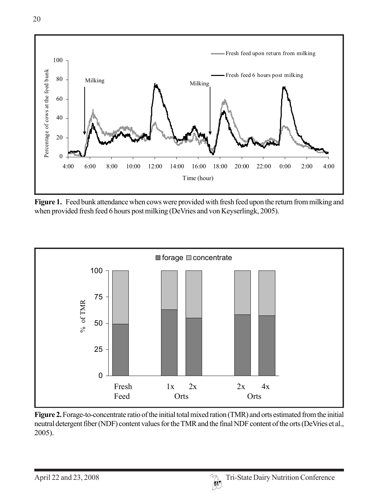

**Figure 1.** Feed bunk attendance when cows were provided with fresh feed upon the return from milking and when provided fresh feed 6 hours post milking (DeVries and von Keyserlingk, 2005).



**Figure 2.** Forage-to-concentrate ratio of the initial total mixed ration (TMR) and orts estimated from the initial neutral detergent fiber (NDF) content values for the TMR and the final NDF content of the orts (DeVries et al., 2005).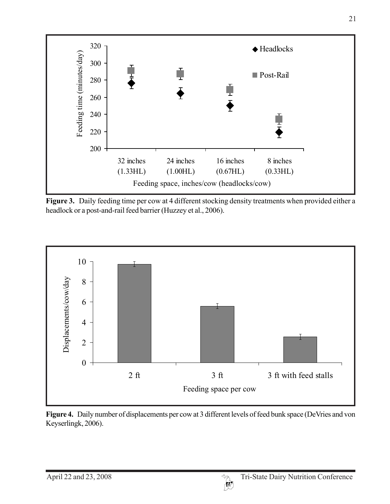

**Figure 3.** Daily feeding time per cow at 4 different stocking density treatments when provided either a headlock or a post-and-rail feed barrier (Huzzey et al., 2006).



Figure 4. Daily number of displacements per cow at 3 different levels of feed bunk space (DeVries and von Keyserlingk, 2006).